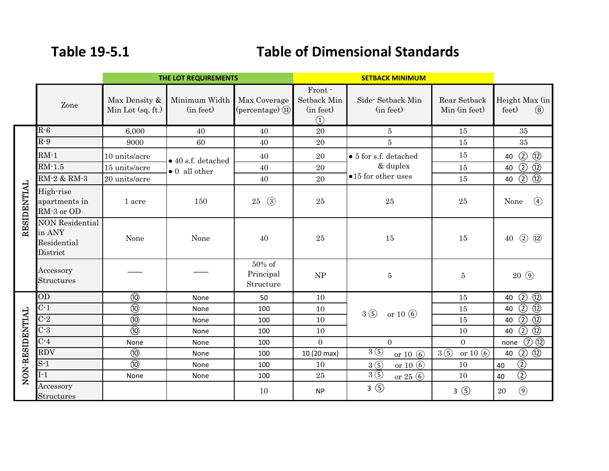## **Table 19‐5.1**

## **Table of Dimensional Standards**

|                 | THE LOT REQUIREMENTS                                        |                                    |                                                     |                                                    | <b>SETBACK MINIMUM</b>                                              |                                                                          |                               |                                          |
|-----------------|-------------------------------------------------------------|------------------------------------|-----------------------------------------------------|----------------------------------------------------|---------------------------------------------------------------------|--------------------------------------------------------------------------|-------------------------------|------------------------------------------|
|                 | Zone                                                        | Max Density &<br>Min Lot (sq. ft.) | Minimum Width<br>(in feet)                          | Max Coverage<br>$(\text{percentage})$ $(\text{1})$ | Front -<br>Setback Min<br>(in feet)<br>$\left( \overline{1}\right)$ | Side-Setback Min<br>(in feet)                                            | Rear Setback<br>Min (in feet) | Height Max (in<br>$\circled{8}$<br>feet) |
| RESIDENTIAL     | $R - 6$                                                     | 6,000                              | 40                                                  | 40                                                 | 20                                                                  | $\overline{5}$                                                           | 15                            | 35                                       |
|                 | $R-9$                                                       | 9000                               | 60                                                  | 40                                                 | 20                                                                  | $\overline{5}$                                                           | 15                            | 35                                       |
|                 | $RM-1$                                                      | 10 units/acre                      | $\bullet$ 40 s.f. detached<br>$\bullet$ 0 all other | 40                                                 | 20                                                                  | $\bullet$ 5 for s.f. detached<br>& duplex<br>$\bullet$ 15 for other uses | 15                            | $\circled{2}$<br>$\circled{1}$<br>40     |
|                 | $RM-1.5$                                                    | 15 units/acre                      |                                                     | 40                                                 | $20\,$                                                              |                                                                          | 15                            | $\circled{2}$<br>$\circled{1}$<br>40     |
|                 | RM-2 & RM-3                                                 | 20 units/acre                      |                                                     | 40                                                 | 20                                                                  |                                                                          | 15                            | $\circled{1}$<br>$\circled{2}$<br>40     |
|                 | High-rise<br>apartments in<br>RM-3 or OD                    | 1 acre                             | 150                                                 | $\circled{3}$<br>25                                | $25\,$                                                              | $25\,$                                                                   | $25\,$                        | $\circled{4}$<br>None                    |
|                 | <b>NON Residential</b><br>in ANY<br>Residential<br>District | None                               | None                                                | 40                                                 | $25\,$                                                              | 15                                                                       | 15                            | $\circled{2}$<br>$\circled{12}$<br>40    |
|                 | Accessory<br>Structures                                     |                                    |                                                     | 50% of<br>Principal<br>Structure                   | NP                                                                  | $\overline{5}$                                                           | $\bf 5$                       | $20\Theta$                               |
| NON-RESIDENTIAL | OD                                                          | $\circledR$                        | None                                                | 50                                                 | 10                                                                  | 3(5)<br>or $10(6)$                                                       | 15                            | $\circled{2}$<br>$\circledR$<br>40       |
|                 | $C-1$                                                       | $\circledR$                        | None                                                | 100                                                | 10                                                                  |                                                                          | 15                            | $\overline{O}$<br>$\circledR$<br>40      |
|                 | $C-2$                                                       | $\overline{\omega}$                | None                                                | 100                                                | 10                                                                  |                                                                          | 15                            | $\circledR$<br>$\circledcirc$<br>40      |
|                 | $C-3$                                                       | $\overline{\omega}$                | None                                                | 100                                                | 10                                                                  |                                                                          | 10                            | $\overline{2}$<br>$\overline{12}$<br>40  |
|                 | $C-4$                                                       | None                               | None                                                | 100                                                | $\overline{0}$                                                      | $\overline{0}$                                                           | $\overline{0}$                | $\circledD \circledR$<br>none            |
|                 | <b>RDV</b>                                                  | $\circledR$                        | None                                                | 100                                                | 10 (20 max)                                                         | 3(5)<br>or $10(6)$                                                       | 3(5)<br>or 10 $\circled{6}$   | $\circledcirc$<br>$\circledR$<br>40      |
|                 | $S-1$                                                       | $\overline{\omega}$                | None                                                | 100                                                | 10                                                                  | 3(5)<br>or $10(6)$                                                       | 10                            | $\overline{2}$<br>40                     |
|                 | $I-1$                                                       | None                               | None                                                | 100                                                | 25                                                                  | 3 <sup>6</sup><br>or $25(6)$                                             | 10                            | $\overline{②}$<br>40                     |
|                 | Accessory<br>Structures                                     |                                    |                                                     | 10                                                 | <b>NP</b>                                                           | $3$ $\circled{5}$                                                        | 3 <sup>6</sup>                | $\circledcirc$<br>20                     |